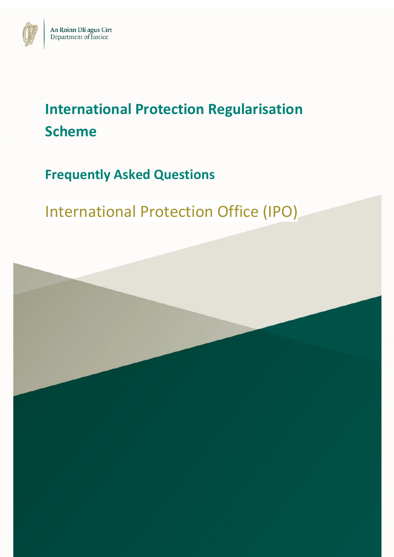

# **International Protection Regularisation Scheme**

**Frequently Asked Questions**

International Protection Office (IPO)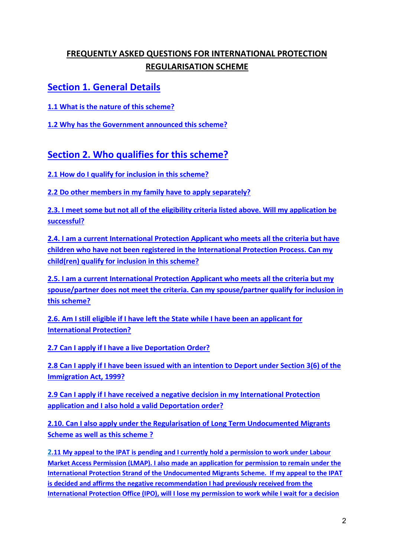### **FREQUENTLY ASKED QUESTIONS FOR INTERNATIONAL PROTECTION REGULARISATION SCHEME**

### **[Section 1. General Details](#page-4-0)**

**1.1 [What is the nature of this scheme?](#page-4-1)**

**1.2 [Why has the Government announced this scheme?](#page-4-2)**

### **[Section 2. Who qualifies for this scheme?](#page-4-3)**

**[2.1 How do I qualify for inclusion in this scheme?](#page-4-4)**

**[2.2 Do other members in my family have to apply separately?](#page-5-0)**

**[2.3. I meet some but not all of the eligibility criteria listed above. Will my application be](#page-5-1)  [successful?](#page-5-1)**

**[2.4. I am a current International Protection Applicant who meets all the criteria but have](#page-5-2)  [children who have not been registered in the International Protection Process. Can my](#page-5-2)  [child\(ren\) qualify for inclusion in this scheme?](#page-5-2)**

**[2.5. I am a current International Protection Applicant who meets all the criteria but my](#page-5-3)  spouse/partner does not meet the criteria. [Can my spouse/partner qualify for inclusion in](#page-5-3)  [this scheme?](#page-5-3)**

**[2.6. Am I still eligible if I have left the State while I have been an applicant for](#page-6-0)  [International Protection?](#page-6-0)**

**[2.7 Can I apply if I have a live Deportation Order?](#page-6-1)**

**[2.8 Can I apply if I have been issued with an intention to Deport under Section 3\(6\) of the](#page-6-2)  [Immigration Act, 1999?](#page-6-2)**

**2.9 Can I apply if I have received a negative decision in my International Protection application and I also hold a valid Deportation order?**

**[2.10. Can I also apply under the Regularisation of Long Term Undocumented Migrants](#page-4-3)  [Scheme as well as this scheme](#page-4-3) ?**

**2.11 My appeal to the IPAT is pending and I currently hold a permission to work under Labour Market Access Permission (LMAP). I also made an application for permission to remain under the International Protection Strand of the Undocumented Migrants Scheme. If my appeal to the IPAT is decided and affirms the negative recommendation I had previously received from the International Protection Office (IPO), will I lose my permission to work while I wait for a decision**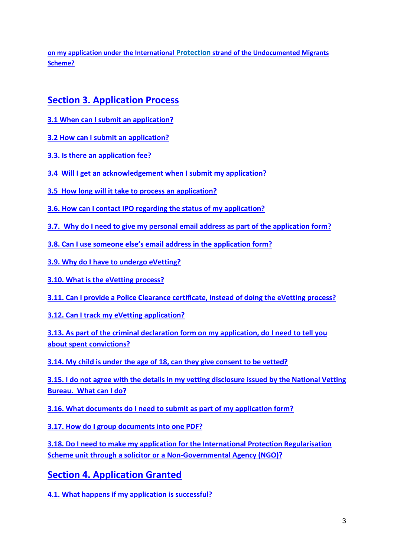**on my application under the International Protection strand of the Undocumented Migrants Scheme?** 

### **[Section 3. Application Process](#page-7-0)**

- **[3.1 When can I submit an application?](#page-7-1)**
- **[3.2 How can I submit an application?](#page-8-0)**
- **[3.3. Is there an application fee?](#page-8-1)**
- **[3.4 Will I get an acknowledgement when I submit my application?](#page-8-2)**
- **[3.5 How long will it take to process an application?](#page-8-3)**
- **3.6. How can I contact IPO [regarding the status of my application?](#page-9-0)**
- **[3.7. Why do I need to give my personal email address as part of the application form?](#page-9-1)**
- **[3.8. Can I use someone else's email address in the application form?](#page-9-2)**
- **[3.9. Why do I have to undergo eVetting?](#page-10-0)**

**[3.10. What is the eVetting](#page-10-1) process?**

**[3.11. Can I provide a Police Clearance certificate, instead of doing the eVetting](#page-12-0) process?**

**[3.12. Can I track my eVetting](#page-12-1) application?**

**[3.13. As part of the criminal declaration form on my application, do I need to tell you](#page-12-2)  [about spent convictions?](#page-12-2)**

**[3.14. My child is under the age of 18, can they give consent to be vetted?](#page-12-3)**

**[3.15. I do not agree with the details in my vetting disclosure](#page-12-4) issued by the National Vetting [Bureau. What can I do?](#page-12-4)**

**[3.16. What documents do I need to submit as part of my application form?](#page-13-0)**

**[3.17. How do I group documents into one PDF?](#page-14-0)**

**[3.18. Do I need to make my application for the International Protection Regularisation](#page-14-1)  Scheme [unit through a solicitor or a Non-Governmental Agency \(NGO\)?](#page-14-1)**

**[Section 4. Application Granted](#page-14-2)**

**[4.1. What happens if my application is successful?](#page-14-3)**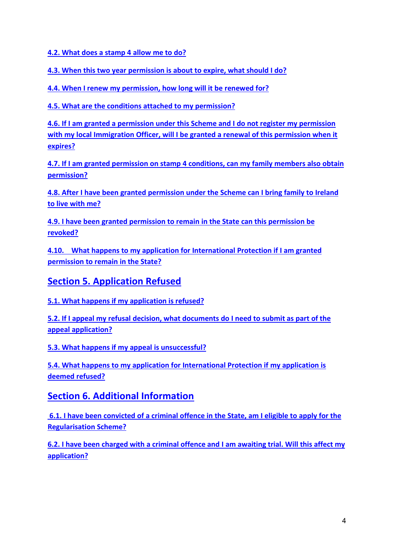**[4.2. What does a stamp 4 allow me to do?](#page-15-0)**

**[4.3. When this two year permission is about to expire, what should I do?](#page-15-1)**

**[4.4. When I renew my permission, how long will it be renewed for?](#page-16-0)**

**[4.5. What are the conditions attached to my permission?](#page-16-1)**

**[4.6. If I am granted a permission under this Scheme and I do not register my permission](#page-16-2)  [with my local Immigration Officer, will I be granted a renewal of this permission when it](#page-16-2)  [expires?](#page-16-2)**

**[4.7. If I am granted permission on stamp 4 conditions, can my family members also obtain](#page-17-0)  [permission?](#page-17-0)**

**[4.8. After I have been granted permission under](#page-17-1) the Scheme can I bring family to Ireland [to live with me?](#page-17-1)**

**[4.9. I have been granted permission to remain in the State can this permission be](#page-17-2)  [revoked?](#page-17-2)**

**4.10. [What happens to my application for International Protection if I am granted](#page-18-0)  [permission to remain in the State?](#page-18-0)**

**[Section 5. Application Refused](#page-18-1)**

**[5.1. What happens if my application is refused?](#page-18-2)**

**[5.2. If I appeal my refusal decision, what documents do I need to submit as part of the](#page-18-3)  [appeal application?](#page-18-3)**

**[5.3. What happens if my appeal is](#page-19-0) unsuccessful?**

**[5.4. What happens to my application for International Protection if my application is](#page-19-1)  [deemed refused?](#page-19-1)**

### **[Section 6. Additional Information](#page-19-2)**

**[6.1. I have been convicted of a criminal offence in the State, am I eligible to apply for the](#page-19-3)  [Regularisation Scheme?](#page-19-3)**

**[6.2. I have been charged with a criminal offence and I am awaiting trial. Will this affect my](#page-19-4)  [application?](#page-19-4)**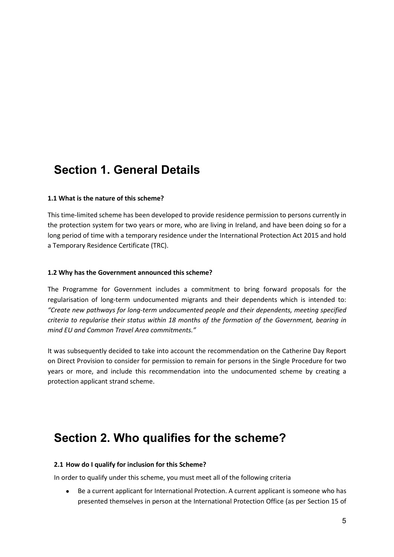### <span id="page-4-0"></span>**Section 1. General Details**

#### <span id="page-4-1"></span>**1.1 What is the nature of this scheme?**

This time-limited scheme has been developed to provide residence permission to persons currently in the protection system for two years or more, who are living in Ireland, and have been doing so for a long period of time with a temporary residence under the International Protection Act 2015 and hold a Temporary Residence Certificate (TRC).

#### <span id="page-4-2"></span>**1.2 Why has the Government announced this scheme?**

The Programme for Government includes a commitment to bring forward proposals for the regularisation of long-term undocumented migrants and their dependents which is intended to: *"Create new pathways for long-term undocumented people and their dependents, meeting specified criteria to regularise their status within 18 months of the formation of the Government, bearing in mind EU and Common Travel Area commitments."*

It was subsequently decided to take into account the recommendation on the Catherine Day Report on Direct Provision to consider for permission to remain for persons in the Single Procedure for two years or more, and include this recommendation into the undocumented scheme by creating a protection applicant strand scheme.

# <span id="page-4-3"></span>**Section 2. Who qualifies for the scheme?**

#### <span id="page-4-4"></span>**2.1 How do I qualify for inclusion for this Scheme?**

In order to qualify under this scheme, you must meet all of the following criteria

• Be a current applicant for International Protection. A current applicant is someone who has presented themselves in person at the International Protection Office (as per Section 15 of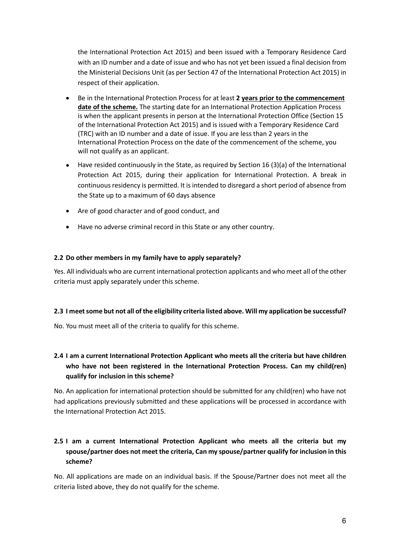the International Protection Act 2015) and been issued with a Temporary Residence Card with an ID number and a date of issue and who has not yet been issued a final decision from the Ministerial Decisions Unit (as per Section 47 of the International Protection Act 2015) in respect of their application.

- Be in the International Protection Process for at least **2 years prior to the commencement date of the scheme.** The starting date for an International Protection Application Process is when the applicant presents in person at the International Protection Office (Section 15 of the International Protection Act 2015) and is issued with a Temporary Residence Card (TRC) with an ID number and a date of issue. If you are less than 2 years in the International Protection Process on the date of the commencement of the scheme, you will not qualify as an applicant.
- Have resided continuously in the State, as required by Section 16  $(3)(a)$  of the International Protection Act 2015, during their application for International Protection. A break in continuous residency is permitted. It is intended to disregard a short period of absence from the State up to a maximum of 60 days absence
- Are of good character and of good conduct, and
- Have no adverse criminal record in this State or any other country.

#### <span id="page-5-0"></span>**2.2 Do other members in my family have to apply separately?**

Yes. All individuals who are current international protection applicants and who meet all of the other criteria must apply separately under this scheme.

#### <span id="page-5-1"></span>**2.3 I meet some but not all of the eligibility criteria listed above. Will my application be successful?**

No. You must meet all of the criteria to qualify for this scheme.

#### <span id="page-5-2"></span>**2.4 I am a current International Protection Applicant who meets all the criteria but have children who have not been registered in the International Protection Process. Can my child(ren) qualify for inclusion in this scheme?**

No. An application for international protection should be submitted for any child(ren) who have not had applications previously submitted and these applications will be processed in accordance with the International Protection Act 2015.

#### <span id="page-5-3"></span>**2.5 I am a current International Protection Applicant who meets all the criteria but my spouse/partner does not meet the criteria, Can my spouse/partner qualify for inclusion in this scheme?**

No. All applications are made on an individual basis. If the Spouse/Partner does not meet all the criteria listed above, they do not qualify for the scheme.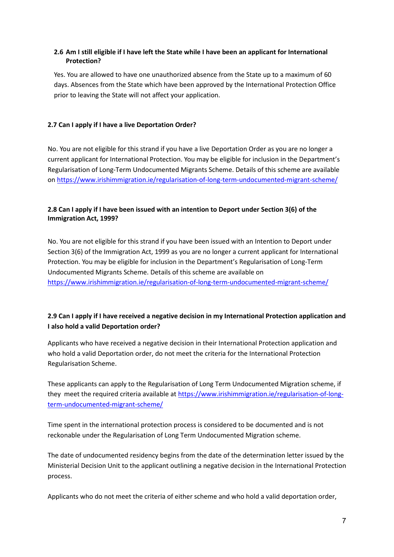#### <span id="page-6-0"></span>**2.6 Am I still eligible if I have left the State while I have been an applicant for International Protection?**

Yes. You are allowed to have one unauthorized absence from the State up to a maximum of 60 days. Absences from the State which have been approved by the International Protection Office prior to leaving the State will not affect your application.

#### <span id="page-6-1"></span>**2.7 Can I apply if I have a live Deportation Order?**

No. You are not eligible for this strand if you have a live Deportation Order as you are no longer a current applicant for International Protection. You may be eligible for inclusion in the Department's Regularisation of Long-Term Undocumented Migrants Scheme. Details of this scheme are available on<https://www.irishimmigration.ie/regularisation-of-long-term-undocumented-migrant-scheme/>

#### <span id="page-6-2"></span>**2.8 Can I apply if I have been issued with an intention to Deport under Section 3(6) of the Immigration Act, 1999?**

No. You are not eligible for this strand if you have been issued with an Intention to Deport under Section 3(6) of the Immigration Act, 1999 as you are no longer a current applicant for International Protection. You may be eligible for inclusion in the Department's Regularisation of Long-Term Undocumented Migrants Scheme. Details of this scheme are available on <https://www.irishimmigration.ie/regularisation-of-long-term-undocumented-migrant-scheme/>

#### **2.9 Can I apply if I have received a negative decision in my International Protection application and I also hold a valid Deportation order?**

Applicants who have received a negative decision in their International Protection application and who hold a valid Deportation order, do not meet the criteria for the International Protection Regularisation Scheme.

These applicants can apply to the Regularisation of Long Term Undocumented Migration scheme, if they meet the required criteria available at [https://www.irishimmigration.ie/regularisation-of-long](https://www.irishimmigration.ie/regularisation-of-long-term-undocumented-migrant-scheme/)[term-undocumented-migrant-scheme/](https://www.irishimmigration.ie/regularisation-of-long-term-undocumented-migrant-scheme/)

Time spent in the international protection process is considered to be documented and is not reckonable under the Regularisation of Long Term Undocumented Migration scheme.

The date of undocumented residency begins from the date of the determination letter issued by the Ministerial Decision Unit to the applicant outlining a negative decision in the International Protection process.

Applicants who do not meet the criteria of either scheme and who hold a valid deportation order,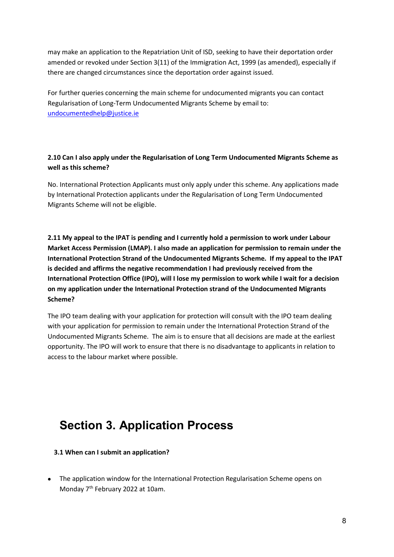may make an application to the Repatriation Unit of ISD, seeking to have their deportation order amended or revoked under Section 3(11) of the Immigration Act, 1999 (as amended), especially if there are changed circumstances since the deportation order against issued.

For further queries concerning the main scheme for undocumented migrants you can contact Regularisation of Long-Term Undocumented Migrants Scheme by email to: [undocumentedhelp@justice.ie](mailto:undocumentedhelp@justice.ie)

#### **2.10 Can I also apply under the Regularisation of Long Term Undocumented Migrants Scheme as well as this scheme?**

No. International Protection Applicants must only apply under this scheme. Any applications made by International Protection applicants under the Regularisation of Long Term Undocumented Migrants Scheme will not be eligible.

**2.11 My appeal to the IPAT is pending and I currently hold a permission to work under Labour Market Access Permission (LMAP). I also made an application for permission to remain under the International Protection Strand of the Undocumented Migrants Scheme. If my appeal to the IPAT is decided and affirms the negative recommendation I had previously received from the International Protection Office (IPO), will I lose my permission to work while I wait for a decision on my application under the International Protection strand of the Undocumented Migrants Scheme?** 

The IPO team dealing with your application for protection will consult with the IPO team dealing with your application for permission to remain under the International Protection Strand of the Undocumented Migrants Scheme. The aim is to ensure that all decisions are made at the earliest opportunity. The IPO will work to ensure that there is no disadvantage to applicants in relation to access to the labour market where possible.

# <span id="page-7-0"></span>**Section 3. Application Process**

<span id="page-7-1"></span>**3.1 When can I submit an application?**

• The application window for the International Protection Regularisation Scheme opens on Monday 7<sup>th</sup> February 2022 at 10am.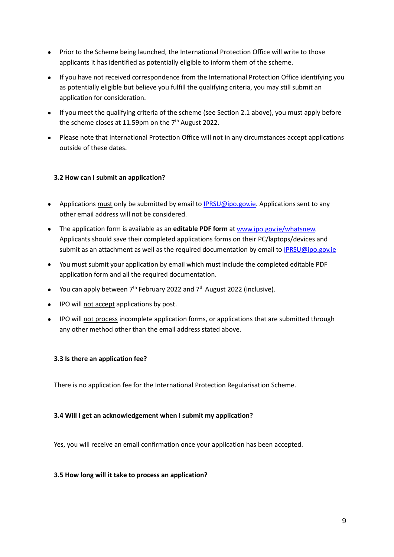- Prior to the Scheme being launched, the International Protection Office will write to those applicants it has identified as potentially eligible to inform them of the scheme.
- If you have not received correspondence from the International Protection Office identifying you as potentially eligible but believe you fulfill the qualifying criteria, you may still submit an application for consideration.
- If you meet the qualifying criteria of the scheme (see Section 2.1 above), you must apply before the scheme closes at 11.59pm on the  $7<sup>th</sup>$  August 2022.
- Please note that International Protection Office will not in any circumstances accept applications outside of these dates.

#### <span id="page-8-0"></span>**3.2 How can I submit an application?**

- Applications must only be submitted by email t[o IPRSU@ipo.gov.ie.](mailto:IPRSU@ipo.gov.ie) Applications sent to any other email address will not be considered.
- The application form is available as an **editable PDF form** at [www.ipo.gov.ie/whatsnew.](http://www.ipo.gov.ie/whatsnew) Applicants should save their completed applications forms on their PC/laptops/devices and submit as an attachment as well as the required documentation by email to [IPRSU@ipo.gov.ie](mailto:IPRSU@ipo.gov.ie)
- You must submit your application by email which must include the completed editable PDF application form and all the required documentation.
- You can apply between  $7<sup>th</sup>$  February 2022 and  $7<sup>th</sup>$  August 2022 (inclusive).
- IPO will not accept applications by post.
- IPO will not process incomplete application forms, or applications that are submitted through any other method other than the email address stated above.

#### <span id="page-8-1"></span>**3.3 Is there an application fee?**

There is no application fee for the International Protection Regularisation Scheme.

#### <span id="page-8-2"></span>**3.4 Will I get an acknowledgement when I submit my application?**

Yes, you will receive an email confirmation once your application has been accepted.

#### <span id="page-8-3"></span>**3.5 How long will it take to process an application?**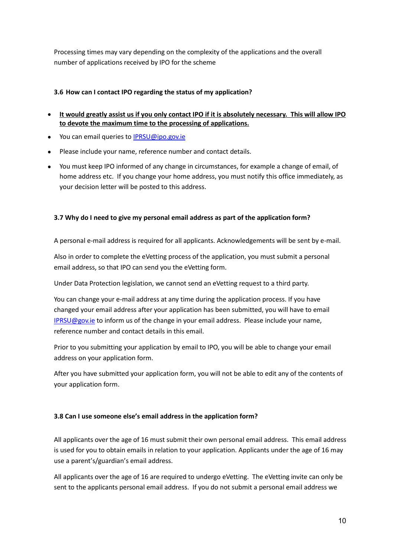Processing times may vary depending on the complexity of the applications and the overall number of applications received by IPO for the scheme

#### <span id="page-9-0"></span>**3.6 How can I contact IPO regarding the status of my application?**

- **It would greatly assist us if you only contact IPO if it is absolutely necessary. This will allow IPO to devote the maximum time to the processing of applications.**
- You can email queries to [IPRSU@ipo.gov.ie](mailto:IPRSU@ipo.gov.ie)
- Please include your name, reference number and contact details.
- You must keep IPO informed of any change in circumstances, for example a change of email, of home address etc. If you change your home address, you must notify this office immediately, as your decision letter will be posted to this address.

#### <span id="page-9-1"></span>**3.7 Why do I need to give my personal email address as part of the application form?**

A personal e-mail address is required for all applicants. Acknowledgements will be sent by e-mail.

Also in order to complete the eVetting process of the application, you must submit a personal email address, so that IPO can send you the eVetting form.

Under Data Protection legislation, we cannot send an eVetting request to a third party.

You can change your e-mail address at any time during the application process. If you have changed your email address after your application has been submitted, you will have to email [IPRSU@gov.ie](mailto:IPRSU@gov.ie) to inform us of the change in your email address. Please include your name, reference number and contact details in this email.

Prior to you submitting your application by email to IPO, you will be able to change your email address on your application form.

After you have submitted your application form, you will not be able to edit any of the contents of your application form.

#### <span id="page-9-2"></span>**3.8 Can I use someone else's email address in the application form?**

All applicants over the age of 16 must submit their own personal email address. This email address is used for you to obtain emails in relation to your application. Applicants under the age of 16 may use a parent's/guardian's email address.

All applicants over the age of 16 are required to undergo eVetting. The eVetting invite can only be sent to the applicants personal email address. If you do not submit a personal email address we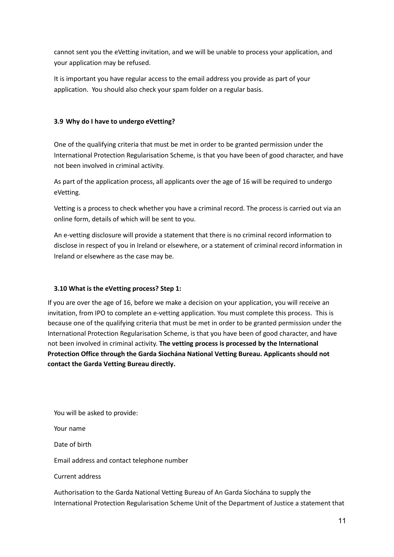cannot sent you the eVetting invitation, and we will be unable to process your application, and your application may be refused.

It is important you have regular access to the email address you provide as part of your application. You should also check your spam folder on a regular basis.

#### <span id="page-10-0"></span>**3.9 Why do I have to undergo eVetting?**

One of the qualifying criteria that must be met in order to be granted permission under the International Protection Regularisation Scheme, is that you have been of good character, and have not been involved in criminal activity.

As part of the application process, all applicants over the age of 16 will be required to undergo eVetting.

Vetting is a process to check whether you have a criminal record. The process is carried out via an online form, details of which will be sent to you.

An e-vetting disclosure will provide a statement that there is no criminal record information to disclose in respect of you in Ireland or elsewhere, or a statement of criminal record information in Ireland or elsewhere as the case may be.

#### <span id="page-10-1"></span>**3.10 What is the eVetting process? Step 1:**

If you are over the age of 16, before we make a decision on your application, you will receive an invitation, from IPO to complete an e-vetting application. You must complete this process. This is because one of the qualifying criteria that must be met in order to be granted permission under the International Protection Regularisation Scheme, is that you have been of good character, and have not been involved in criminal activity. **The vetting process is processed by the International Protection Office through the Garda Siochána National Vetting Bureau. Applicants should not contact the Garda Vetting Bureau directly.**

You will be asked to provide:

Your name

Date of birth

Email address and contact telephone number

Current address

Authorisation to the Garda National Vetting Bureau of An Garda Síochána to supply the International Protection Regularisation Scheme Unit of the Department of Justice a statement that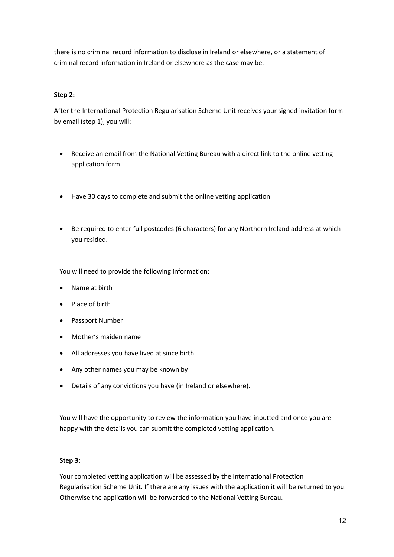there is no criminal record information to disclose in Ireland or elsewhere, or a statement of criminal record information in Ireland or elsewhere as the case may be.

#### **Step 2:**

After the International Protection Regularisation Scheme Unit receives your signed invitation form by email (step 1), you will:

- Receive an email from the National Vetting Bureau with a direct link to the online vetting application form
- Have 30 days to complete and submit the online vetting application
- Be required to enter full postcodes (6 characters) for any Northern Ireland address at which you resided.

You will need to provide the following information:

- Name at birth
- Place of birth
- Passport Number
- Mother's maiden name
- All addresses you have lived at since birth
- Any other names you may be known by
- Details of any convictions you have (in Ireland or elsewhere).

You will have the opportunity to review the information you have inputted and once you are happy with the details you can submit the completed vetting application.

#### **Step 3:**

Your completed vetting application will be assessed by the International Protection Regularisation Scheme Unit. If there are any issues with the application it will be returned to you. Otherwise the application will be forwarded to the National Vetting Bureau.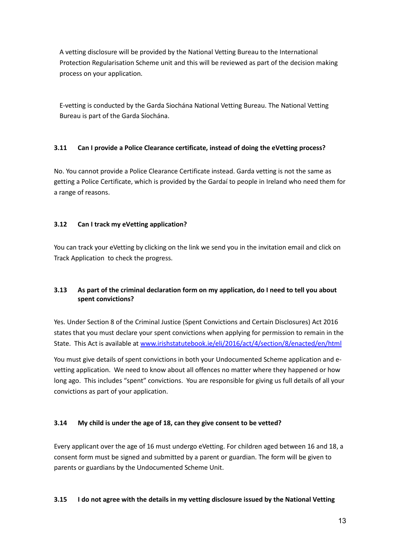A vetting disclosure will be provided by the National Vetting Bureau to the International Protection Regularisation Scheme unit and this will be reviewed as part of the decision making process on your application.

E-vetting is conducted by the Garda Siochána National Vetting Bureau. The National Vetting Bureau is part of the Garda Síochána.

#### <span id="page-12-0"></span>**3.11 Can I provide a Police Clearance certificate, instead of doing the eVetting process?**

No. You cannot provide a Police Clearance Certificate instead. Garda vetting is not the same as getting a Police Certificate, which is provided by the Gardaí to people in Ireland who need them for a range of reasons.

#### <span id="page-12-1"></span>**3.12 Can I track my eVetting application?**

You can track your eVetting by clicking on the link we send you in the invitation email and click on Track Application to check the progress.

#### <span id="page-12-2"></span>**3.13 As part of the criminal declaration form on my application, do I need to tell you about spent convictions?**

Yes. Under Section 8 of the Criminal Justice (Spent Convictions and Certain Disclosures) Act 2016 states that you must declare your spent convictions when applying for permission to remain in the State. This Act is available at [www.irishstatutebook.ie/eli/2016/act/4/section/8/enacted/en/html](http://www.irishstatutebook.ie/eli/2016/act/4/section/8/enacted/en/html)

You must give details of spent convictions in both your Undocumented Scheme application and evetting application. We need to know about all offences no matter where they happened or how long ago. This includes "spent" convictions. You are responsible for giving us full details of all your convictions as part of your application.

#### <span id="page-12-3"></span>**3.14 My child is under the age of 18, can they give consent to be vetted?**

Every applicant over the age of 16 must undergo eVetting. For children aged between 16 and 18, a consent form must be signed and submitted by a parent or guardian. The form will be given to parents or guardians by the Undocumented Scheme Unit.

#### <span id="page-12-4"></span>**3.15 I do not agree with the details in my vetting disclosure issued by the National Vetting**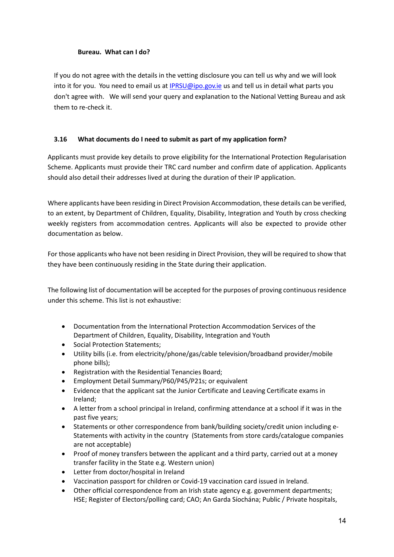#### **Bureau. What can I do?**

If you do not agree with the details in the vetting disclosure you can tell us why and we will look into it for you. You need to email us at [IPRSU@ipo.gov.ie](mailto:IPRSU@ipo.gov.ie) us and tell us in detail what parts you don't agree with. We will send your query and explanation to the National Vetting Bureau and ask them to re-check it.

#### <span id="page-13-0"></span>**3.16 What documents do I need to submit as part of my application form?**

Applicants must provide key details to prove eligibility for the International Protection Regularisation Scheme. Applicants must provide their TRC card number and confirm date of application. Applicants should also detail their addresses lived at during the duration of their IP application.

Where applicants have been residing in Direct Provision Accommodation, these details can be verified, to an extent, by Department of Children, Equality, Disability, Integration and Youth by cross checking weekly registers from accommodation centres. Applicants will also be expected to provide other documentation as below.

For those applicants who have not been residing in Direct Provision, they will be required to show that they have been continuously residing in the State during their application.

The following list of documentation will be accepted for the purposes of proving continuous residence under this scheme. This list is not exhaustive:

- Documentation from the International Protection Accommodation Services of the Department of Children, Equality, Disability, Integration and Youth
- Social Protection Statements;
- Utility bills (i.e. from electricity/phone/gas/cable television/broadband provider/mobile phone bills);
- Registration with the Residential Tenancies Board;
- Employment Detail Summary/P60/P45/P21s; or equivalent
- Evidence that the applicant sat the Junior Certificate and Leaving Certificate exams in Ireland;
- A letter from a school principal in Ireland, confirming attendance at a school if it was in the past five years;
- Statements or other correspondence from bank/building society/credit union including e-Statements with activity in the country (Statements from store cards/catalogue companies are not acceptable)
- Proof of money transfers between the applicant and a third party, carried out at a money transfer facility in the State e.g. Western union)
- Letter from doctor/hospital in Ireland
- Vaccination passport for children or Covid-19 vaccination card issued in Ireland.
- Other official correspondence from an Irish state agency e.g. government departments; HSE; Register of Electors/polling card; CAO; An Garda Síochána; Public / Private hospitals,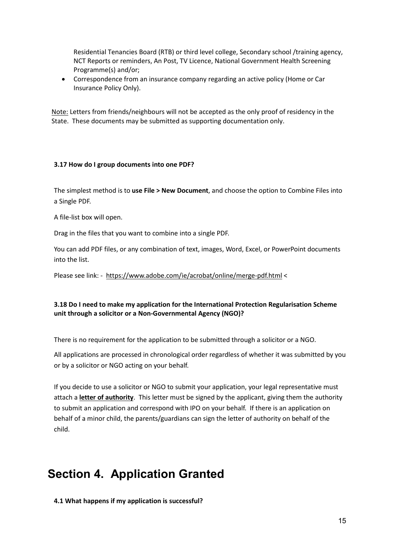Residential Tenancies Board (RTB) or third level college, Secondary school /training agency, NCT Reports or reminders, An Post, TV Licence, National Government Health Screening Programme(s) and/or;

• Correspondence from an insurance company regarding an active policy (Home or Car Insurance Policy Only).

Note: Letters from friends/neighbours will not be accepted as the only proof of residency in the State. These documents may be submitted as supporting documentation only.

#### <span id="page-14-0"></span>**3.17 How do I group documents into one PDF?**

The simplest method is to **use File > New Document**, and choose the option to Combine Files into a Single PDF.

A file-list box will open.

Drag in the files that you want to combine into a single PDF.

You can add PDF files, or any combination of text, images, Word, Excel, or PowerPoint documents into the list.

Please see link: - <https://www.adobe.com/ie/acrobat/online/merge-pdf.html> <

#### <span id="page-14-1"></span>**3.18 Do I need to make my application for the International Protection Regularisation Scheme unit through a solicitor or a Non-Governmental Agency (NGO)?**

There is no requirement for the application to be submitted through a solicitor or a NGO.

All applications are processed in chronological order regardless of whether it was submitted by you or by a solicitor or NGO acting on your behalf.

If you decide to use a solicitor or NGO to submit your application, your legal representative must attach a **letter of authority**. This letter must be signed by the applicant, giving them the authority to submit an application and correspond with IPO on your behalf. If there is an application on behalf of a minor child, the parents/guardians can sign the letter of authority on behalf of the child.

# <span id="page-14-2"></span>**Section 4. Application Granted**

<span id="page-14-3"></span>**4.1 What happens if my application is successful?**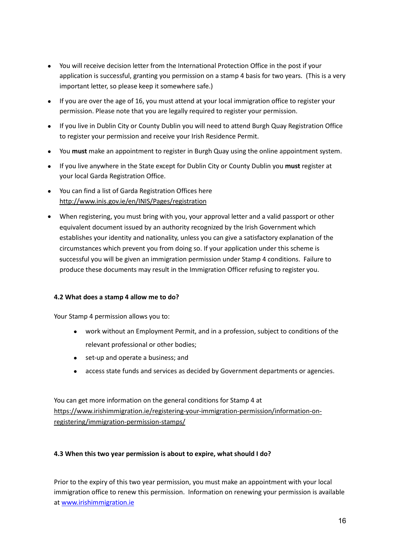- You will receive decision letter from the International Protection Office in the post if your application is successful, granting you permission on a stamp 4 basis for two years. (This is a very important letter, so please keep it somewhere safe.)
- If you are over the age of 16, you must attend at your local immigration office to register your permission. Please note that you are legally required to register your permission.
- If you live in Dublin City or County Dublin you will need to attend Burgh Quay Registration Office to register your permission and receive your Irish Residence Permit.
- You **must** make an appointment to register in Burgh Quay using the online appointment system.
- If you live anywhere in the State except for Dublin City or County Dublin you **must** register at your local Garda Registration Office.
- You can find a list of Garda Registration Offices here <http://www.inis.gov.ie/en/INIS/Pages/registration>
- When registering, you must bring with you, your approval letter and a valid passport or other equivalent document issued by an authority recognized by the Irish Government which establishes your identity and nationality, unless you can give a satisfactory explanation of the circumstances which prevent you from doing so. If your application under this scheme is successful you will be given an immigration permission under Stamp 4 conditions. Failure to produce these documents may result in the Immigration Officer refusing to register you.

#### <span id="page-15-0"></span>**4.2 What does a stamp 4 allow me to do?**

Your Stamp 4 permission allows you to:

- work without an Employment Permit, and in a profession, subject to conditions of the relevant professional or other bodies;
- set-up and operate a business; and
- access state funds and services as decided by Government departments or agencies.

You can get more information on the general conditions for Stamp 4 at [https://www.irishimmigration.ie/registering-your-immigration-permission/information-on](https://www.irishimmigration.ie/registering-your-immigration-permission/information-on-registering/immigration-permission-stamps/)[registering/immigration-permission-stamps/](https://www.irishimmigration.ie/registering-your-immigration-permission/information-on-registering/immigration-permission-stamps/)

#### <span id="page-15-1"></span>**4.3 When this two year permission is about to expire, what should I do?**

Prior to the expiry of this two year permission, you must make an appointment with your local immigration office to renew this permission. Information on renewing your permission is available at [www.irishimmigration.ie](http://www.irishimmigration.ie/)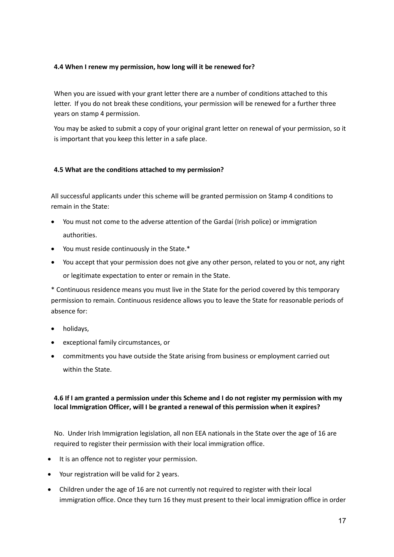#### <span id="page-16-0"></span>**4.4 When I renew my permission, how long will it be renewed for?**

When you are issued with your grant letter there are a number of conditions attached to this letter. If you do not break these conditions, your permission will be renewed for a further three years on stamp 4 permission.

You may be asked to submit a copy of your original grant letter on renewal of your permission, so it is important that you keep this letter in a safe place.

#### <span id="page-16-1"></span>**4.5 What are the conditions attached to my permission?**

All successful applicants under this scheme will be granted permission on Stamp 4 conditions to remain in the State:

- You must not come to the adverse attention of the Gardaí (Irish police) or immigration authorities.
- You must reside continuously in the State.\*
- You accept that your permission does not give any other person, related to you or not, any right or legitimate expectation to enter or remain in the State.

\* Continuous residence means you must live in the State for the period covered by this temporary permission to remain. Continuous residence allows you to leave the State for reasonable periods of absence for:

- holidays,
- exceptional family circumstances, or
- commitments you have outside the State arising from business or employment carried out within the State.

#### <span id="page-16-2"></span>**4.6 If I am granted a permission under this Scheme and I do not register my permission with my local Immigration Officer, will I be granted a renewal of this permission when it expires?**

No. Under Irish Immigration legislation, all non EEA nationals in the State over the age of 16 are required to register their permission with their local immigration office.

- It is an offence not to register your permission.
- Your registration will be valid for 2 years.
- Children under the age of 16 are not currently not required to register with their local immigration office. Once they turn 16 they must present to their local immigration office in order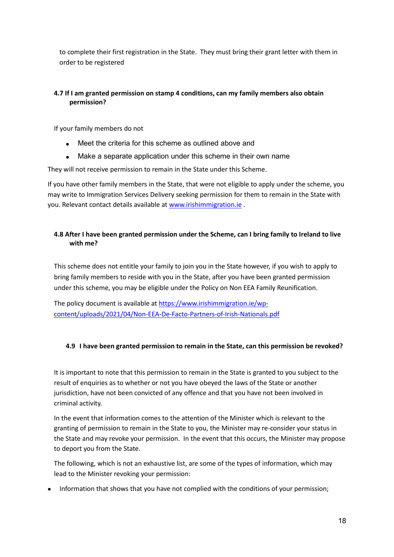to complete their first registration in the State. They must bring their grant letter with them in order to be registered

#### <span id="page-17-0"></span>**4.7 If I am granted permission on stamp 4 conditions, can my family members also obtain permission?**

If your family members do not

- Meet the criteria for this scheme as outlined above and
- Make a separate application under this scheme in their own name

They will not receive permission to remain in the State under this Scheme.

If you have other family members in the State, that were not eligible to apply under the scheme, you may write to Immigration Services Delivery seeking permission for them to remain in the State with you. Relevant contact details available a[t www.irishimmigration.ie](http://www.irishimmigration.ie/) .

#### <span id="page-17-1"></span>**4.8 After I have been granted permission under the Scheme, can I bring family to Ireland to live with me?**

This scheme does not entitle your family to join you in the State however, if you wish to apply to bring family members to reside with you in the State, after you have been granted permission under this scheme, you may be eligible under the Policy on Non EEA Family Reunification.

The policy document is available at [https://www.irishimmigration.ie/wp](https://www.irishimmigration.ie/wp-content/uploads/2021/04/Non-EEA-De-Facto-Partners-of-Irish-Nationals.pdf)[content/uploads/2021/04/Non-EEA-De-Facto-Partners-of-Irish-Nationals.pdf](https://www.irishimmigration.ie/wp-content/uploads/2021/04/Non-EEA-De-Facto-Partners-of-Irish-Nationals.pdf)

#### <span id="page-17-2"></span>**4.9 I have been granted permission to remain in the State, can this permission be revoked?**

It is important to note that this permission to remain in the State is granted to you subject to the result of enquiries as to whether or not you have obeyed the laws of the State or another jurisdiction, have not been convicted of any offence and that you have not been involved in criminal activity.

In the event that information comes to the attention of the Minister which is relevant to the granting of permission to remain in the State to you, the Minister may re-consider your status in the State and may revoke your permission. In the event that this occurs, the Minister may propose to deport you from the State.

The following, which is not an exhaustive list, are some of the types of information, which may lead to the Minister revoking your permission:

• Information that shows that you have not complied with the conditions of your permission;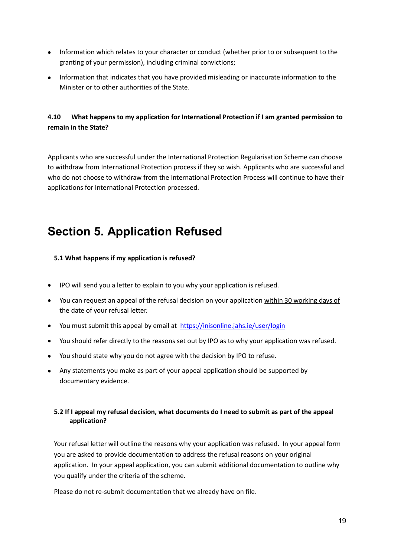- Information which relates to your character or conduct (whether prior to or subsequent to the granting of your permission), including criminal convictions;
- Information that indicates that you have provided misleading or inaccurate information to the Minister or to other authorities of the State.

#### <span id="page-18-0"></span>**4.10 What happens to my application for International Protection if I am granted permission to remain in the State?**

Applicants who are successful under the International Protection Regularisation Scheme can choose to withdraw from International Protection process if they so wish. Applicants who are successful and who do not choose to withdraw from the International Protection Process will continue to have their applications for International Protection processed.

# <span id="page-18-1"></span>**Section 5. Application Refused**

#### <span id="page-18-2"></span>**5.1 What happens if my application is refused?**

- IPO will send you a letter to explain to you why your application is refused.
- You can request an appeal of the refusal decision on your application within 30 working days of the date of your refusal letter.
- You must submit this appeal by email at <https://inisonline.jahs.ie/user/login>
- You should refer directly to the reasons set out by IPO as to why your application was refused.
- You should state why you do not agree with the decision by IPO to refuse.
- Any statements you make as part of your appeal application should be supported by documentary evidence.

#### <span id="page-18-3"></span>**5.2 If I appeal my refusal decision, what documents do I need to submit as part of the appeal application?**

Your refusal letter will outline the reasons why your application was refused. In your appeal form you are asked to provide documentation to address the refusal reasons on your original application. In your appeal application, you can submit additional documentation to outline why you qualify under the criteria of the scheme.

Please do not re-submit documentation that we already have on file.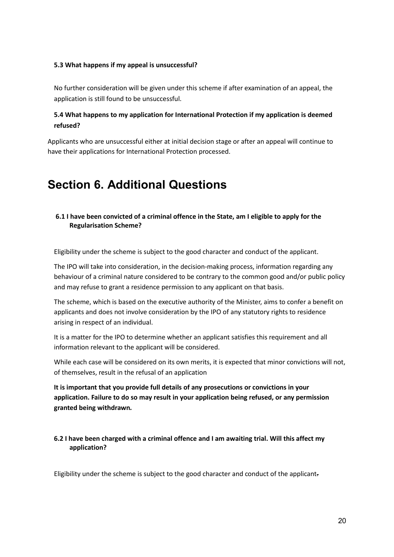#### <span id="page-19-0"></span>**5.3 What happens if my appeal is unsuccessful?**

No further consideration will be given under this scheme if after examination of an appeal, the application is still found to be unsuccessful.

#### <span id="page-19-1"></span>**5.4 What happens to my application for International Protection if my application is deemed refused?**

Applicants who are unsuccessful either at initial decision stage or after an appeal will continue to have their applications for International Protection processed.

# <span id="page-19-2"></span>**Section 6. Additional Questions**

#### <span id="page-19-3"></span>**6.1 I have been convicted of a criminal offence in the State, am I eligible to apply for the Regularisation Scheme?**

Eligibility under the scheme is subject to the good character and conduct of the applicant.

The IPO will take into consideration, in the decision-making process, information regarding any behaviour of a criminal nature considered to be contrary to the common good and/or public policy and may refuse to grant a residence permission to any applicant on that basis.

The scheme, which is based on the executive authority of the Minister, aims to confer a benefit on applicants and does not involve consideration by the IPO of any statutory rights to residence arising in respect of an individual.

It is a matter for the IPO to determine whether an applicant satisfies this requirement and all information relevant to the applicant will be considered.

While each case will be considered on its own merits, it is expected that minor convictions will not, of themselves, result in the refusal of an application

**It is important that you provide full details of any prosecutions or convictions in your application. Failure to do so may result in your application being refused, or any permission granted being withdrawn***.*

#### <span id="page-19-4"></span>**6.2 I have been charged with a criminal offence and I am awaiting trial. Will this affect my application?**

Eligibility under the scheme is subject to the good character and conduct of the applicant.